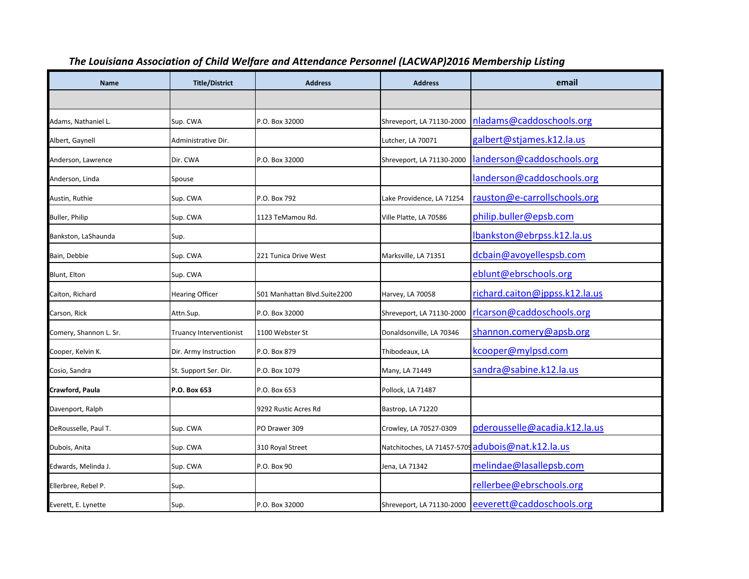| <b>Name</b>            | <b>Title/District</b>          | <b>Address</b>               | <b>Address</b>            | email                                               |
|------------------------|--------------------------------|------------------------------|---------------------------|-----------------------------------------------------|
|                        |                                |                              |                           |                                                     |
| Adams, Nathaniel L.    | Sup. CWA                       | P.O. Box 32000               | Shreveport, LA 71130-2000 | nladams@caddoschools.org                            |
| Albert, Gaynell        | Administrative Dir.            |                              | Lutcher, LA 70071         | galbert@stjames.k12.la.us                           |
| Anderson, Lawrence     | Dir. CWA                       | P.O. Box 32000               | Shreveport, LA 71130-2000 | landerson@caddoschools.org                          |
| Anderson, Linda        | Spouse                         |                              |                           | landerson@caddoschools.org                          |
| Austin, Ruthie         | Sup. CWA                       | P.O. Box 792                 | Lake Providence, LA 71254 | rauston@e-carrollschools.org                        |
| Buller, Philip         | Sup. CWA                       | 1123 TeMamou Rd.             | Ville Platte, LA 70586    | philip.buller@epsb.com                              |
| Bankston, LaShaunda    | Sup.                           |                              |                           | lbankston@ebrpss.k12.la.us                          |
| Bain, Debbie           | Sup. CWA                       | 221 Tunica Drive West        | Marksville, LA 71351      | dcbain@avoyellespsb.com                             |
| <b>Blunt, Elton</b>    | Sup. CWA                       |                              |                           | eblunt@ebrschools.org                               |
| Caiton, Richard        | <b>Hearing Officer</b>         | 501 Manhattan Blvd.Suite2200 | Harvey, LA 70058          | richard.caiton@jppss.k12.la.us                      |
| Carson, Rick           | Attn.Sup.                      | P.O. Box 32000               | Shreveport, LA 71130-2000 | rlcarson@caddoschools.org                           |
| Comery, Shannon L. Sr. | <b>Truancy Interventionist</b> | 1100 Webster St              | Donaldsonville, LA 70346  | shannon.comery@apsb.org                             |
| Cooper, Kelvin K.      | Dir. Army Instruction          | P.O. Box 879                 | Thibodeaux, LA            | kcooper@mylpsd.com                                  |
| Cosio, Sandra          | St. Support Ser. Dir.          | P.O. Box 1079                | Many, LA 71449            | sandra@sabine.k12.la.us                             |
| Crawford, Paula        | P.O. Box 653                   | P.O. Box 653                 | Pollock, LA 71487         |                                                     |
| Davenport, Ralph       |                                | 9292 Rustic Acres Rd         | Bastrop, LA 71220         |                                                     |
| DeRousselle, Paul T.   | Sup. CWA                       | PO Drawer 309                | Crowley, LA 70527-0309    | pderousselle@acadia.k12.la.us                       |
| Dubois, Anita          | Sup. CWA                       | 310 Royal Street             |                           | Natchitoches, LA 71457-5709 adubois@nat.k12.la.us   |
| Edwards, Melinda J.    | Sup. CWA                       | P.O. Box 90                  | Jena, LA 71342            | melindae@lasallepsb.com                             |
| Ellerbree, Rebel P.    | Sup.                           |                              |                           | rellerbee@ebrschools.org                            |
| Everett, E. Lynette    | Sup.                           | P.O. Box 32000               |                           | Shreveport, LA 71130-2000 eeverett@caddoschools.org |

## *The Louisiana Association of Child Welfare and Attendance Personnel (LACWAP)2016 Membership Listing*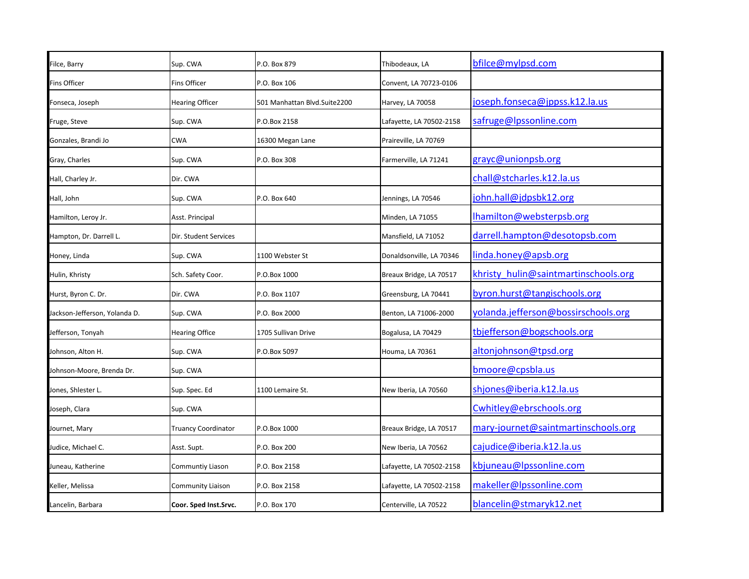| Filce, Barry                  | Sup. CWA                   | P.O. Box 879                 | Thibodeaux, LA           | bfilce@mylpsd.com                    |
|-------------------------------|----------------------------|------------------------------|--------------------------|--------------------------------------|
| <b>Fins Officer</b>           | <b>Fins Officer</b>        | P.O. Box 106                 | Convent, LA 70723-0106   |                                      |
| Fonseca, Joseph               | <b>Hearing Officer</b>     | 501 Manhattan Blvd.Suite2200 | Harvey, LA 70058         | joseph.fonseca@jppss.k12.la.us       |
| Fruge, Steve                  | Sup. CWA                   | P.O.Box 2158                 | Lafayette, LA 70502-2158 | safruge@lpssonline.com               |
| Gonzales, Brandi Jo           | <b>CWA</b>                 | 16300 Megan Lane             | Praireville, LA 70769    |                                      |
| Gray, Charles                 | Sup. CWA                   | P.O. Box 308                 | Farmerville, LA 71241    | grayc@unionpsb.org                   |
| Hall, Charley Jr.             | Dir. CWA                   |                              |                          | chall@stcharles.k12.la.us            |
| Hall, John                    | Sup. CWA                   | P.O. Box 640                 | Jennings, LA 70546       | john.hall@jdpsbk12.org               |
| Hamilton, Leroy Jr.           | Asst. Principal            |                              | Minden, LA 71055         | Ihamilton@websterpsb.org             |
| Hampton, Dr. Darrell L.       | Dir. Student Services      |                              | Mansfield, LA 71052      | darrell.hampton@desotopsb.com        |
| Honey, Linda                  | Sup. CWA                   | 1100 Webster St              | Donaldsonville, LA 70346 | linda.honey@apsb.org                 |
| Hulin, Khristy                | Sch. Safety Coor.          | P.O.Box 1000                 | Breaux Bridge, LA 70517  | khristy hulin@saintmartinschools.org |
| Hurst, Byron C. Dr.           | Dir. CWA                   | P.O. Box 1107                | Greensburg, LA 70441     | byron.hurst@tangischools.org         |
| Jackson-Jefferson, Yolanda D. | Sup. CWA                   | P.O. Box 2000                | Benton, LA 71006-2000    | yolanda.jefferson@bossirschools.org  |
| Jefferson, Tonyah             | <b>Hearing Office</b>      | 1705 Sullivan Drive          | Bogalusa, LA 70429       | tbjefferson@bogschools.org           |
| Johnson, Alton H.             | Sup. CWA                   | P.O.Box 5097                 | Houma, LA 70361          | altonjohnson@tpsd.org                |
| Johnson-Moore, Brenda Dr.     | Sup. CWA                   |                              |                          | bmoore@cpsbla.us                     |
| Jones, Shlester L.            | Sup. Spec. Ed              | 1100 Lemaire St.             | New Iberia, LA 70560     | shjones@iberia.k12.la.us             |
| Joseph, Clara                 | Sup. CWA                   |                              |                          | Cwhitley@ebrschools.org              |
| Journet, Mary                 | <b>Truancy Coordinator</b> | P.O.Box 1000                 | Breaux Bridge, LA 70517  | mary-journet@saintmartinschools.org  |
| Judice, Michael C.            | Asst. Supt.                | P.O. Box 200                 | New Iberia, LA 70562     | cajudice@iberia.k12.la.us            |
| Juneau, Katherine             | Communtiy Liason           | P.O. Box 2158                | Lafayette, LA 70502-2158 | kbjuneau@lpssonline.com              |
| Keller, Melissa               | <b>Community Liaison</b>   | P.O. Box 2158                | Lafayette, LA 70502-2158 | makeller@Ipssonline.com              |
| Lancelin, Barbara             | Coor. Sped Inst.Srvc.      | P.O. Box 170                 | Centerville, LA 70522    | blancelin@stmaryk12.net              |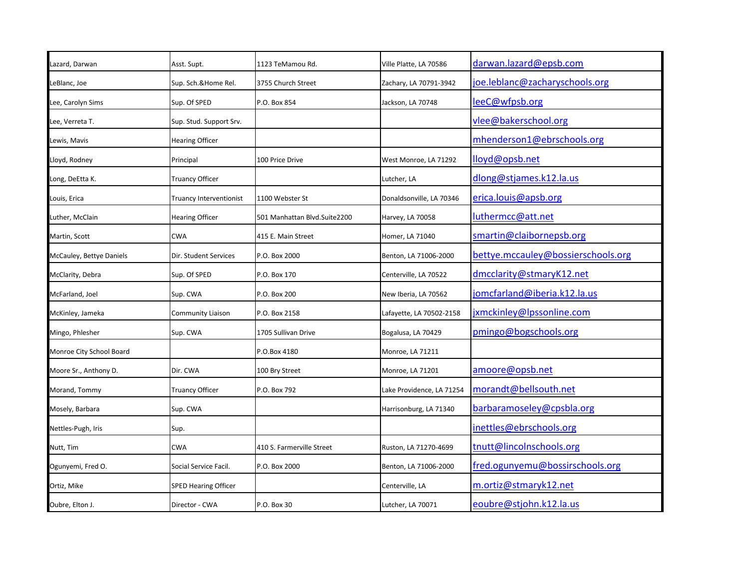| Lazard, Darwan           | Asst. Supt.                 | 1123 TeMamou Rd.             | Ville Platte, LA 70586    | darwan.lazard@epsb.com             |
|--------------------------|-----------------------------|------------------------------|---------------------------|------------------------------------|
| LeBlanc, Joe             | Sup. Sch.&Home Rel.         | 3755 Church Street           | Zachary, LA 70791-3942    | joe.leblanc@zacharyschools.org     |
| Lee, Carolyn Sims        | Sup. Of SPED                | P.O. Box 854                 | Jackson, LA 70748         | leeC@wfpsb.org                     |
| Lee, Verreta T.          | Sup. Stud. Support Srv.     |                              |                           | vlee@bakerschool.org               |
| Lewis, Mavis             | <b>Hearing Officer</b>      |                              |                           | mhenderson1@ebrschools.org         |
| Lloyd, Rodney            | Principal                   | 100 Price Drive              | West Monroe, LA 71292     | lloyd@opsb.net                     |
| Long, DeEtta K.          | Truancy Officer             |                              | Lutcher, LA               | dlong@stjames.k12.la.us            |
| Louis, Erica             | Truancy Interventionist     | 1100 Webster St              | Donaldsonville, LA 70346  | erica.louis@apsb.org               |
| Luther, McClain          | <b>Hearing Officer</b>      | 501 Manhattan Blvd.Suite2200 | Harvey, LA 70058          | luthermcc@att.net                  |
| Martin, Scott            | <b>CWA</b>                  | 415 E. Main Street           | Homer, LA 71040           | smartin@claibornepsb.org           |
| McCauley, Bettye Daniels | Dir. Student Services       | P.O. Box 2000                | Benton, LA 71006-2000     | bettye.mccauley@bossierschools.org |
| McClarity, Debra         | Sup. Of SPED                | P.O. Box 170                 | Centerville, LA 70522     | dmcclarity@stmaryK12.net           |
| McFarland, Joel          | Sup. CWA                    | P.O. Box 200                 | New Iberia, LA 70562      | jomcfarland@iberia.k12.la.us       |
| McKinley, Jameka         | <b>Community Liaison</b>    | P.O. Box 2158                | Lafayette, LA 70502-2158  | jxmckinley@lpssonline.com          |
| Mingo, Phlesher          | Sup. CWA                    | 1705 Sullivan Drive          | Bogalusa, LA 70429        | pmingo@bogschools.org              |
| Monroe City School Board |                             | P.O.Box 4180                 | Monroe, LA 71211          |                                    |
| Moore Sr., Anthony D.    | Dir. CWA                    | 100 Bry Street               | Monroe, LA 71201          | amoore@opsb.net                    |
| Morand, Tommy            | <b>Truancy Officer</b>      | P.O. Box 792                 | Lake Providence, LA 71254 | morandt@bellsouth.net              |
| Mosely, Barbara          | Sup. CWA                    |                              | Harrisonburg, LA 71340    | barbaramoseley@cpsbla.org          |
| Nettles-Pugh, Iris       | Sup.                        |                              |                           | inettles@ebrschools.org            |
| Nutt, Tim                | <b>CWA</b>                  | 410 S. Farmerville Street    | Ruston, LA 71270-4699     | tnutt@lincolnschools.org           |
| Ogunyemi, Fred O.        | Social Service Facil.       | P.O. Box 2000                | Benton, LA 71006-2000     | fred.ogunyemu@bossirschools.org    |
| Ortiz, Mike              | <b>SPED Hearing Officer</b> |                              | Centerville, LA           | m.ortiz@stmaryk12.net              |
| Oubre, Elton J.          | Director - CWA              | P.O. Box 30                  | Lutcher, LA 70071         | eoubre@stjohn.k12.la.us            |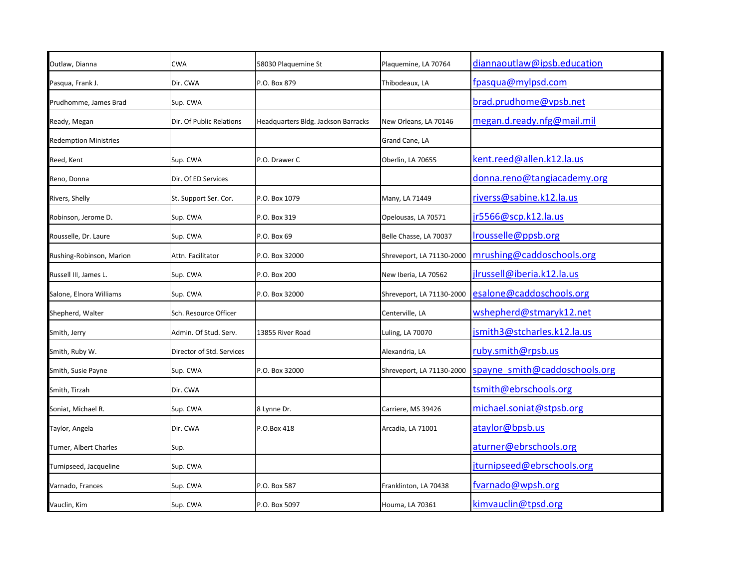| Outlaw, Dianna               | <b>CWA</b>                | 58030 Plaquemine St                 | Plaquemine, LA 70764      | diannaoutlaw@ipsb.education   |
|------------------------------|---------------------------|-------------------------------------|---------------------------|-------------------------------|
| Pasqua, Frank J.             | Dir. CWA                  | P.O. Box 879                        | Thibodeaux, LA            | fpasqua@mylpsd.com            |
| Prudhomme, James Brad        | Sup. CWA                  |                                     |                           | brad.prudhome@vpsb.net        |
| Ready, Megan                 | Dir. Of Public Relations  | Headquarters Bldg. Jackson Barracks | New Orleans, LA 70146     | megan.d.ready.nfg@mail.mil    |
| <b>Redemption Ministries</b> |                           |                                     | Grand Cane, LA            |                               |
| Reed, Kent                   | Sup. CWA                  | P.O. Drawer C                       | Oberlin, LA 70655         | kent.reed@allen.k12.la.us     |
| Reno, Donna                  | Dir. Of ED Services       |                                     |                           | donna.reno@tangiacademy.org   |
| Rivers, Shelly               | St. Support Ser. Cor.     | P.O. Box 1079                       | Many, LA 71449            | riverss@sabine.k12.la.us      |
| Robinson, Jerome D.          | Sup. CWA                  | P.O. Box 319                        | Opelousas, LA 70571       | jr5566@scp.k12.la.us          |
| Rousselle, Dr. Laure         | Sup. CWA                  | P.O. Box 69                         | Belle Chasse, LA 70037    | Irousselle@ppsb.org           |
| Rushing-Robinson, Marion     | Attn. Facilitator         | P.O. Box 32000                      | Shreveport, LA 71130-2000 | mrushing@caddoschools.org     |
| Russell III, James L.        | Sup. CWA                  | P.O. Box 200                        | New Iberia, LA 70562      | jlrussell@iberia.k12.la.us    |
| Salone, Elnora Williams      | Sup. CWA                  | P.O. Box 32000                      | Shreveport, LA 71130-2000 | esalone@caddoschools.org      |
| Shepherd, Walter             | Sch. Resource Officer     |                                     | Centerville, LA           | wshepherd@stmaryk12.net       |
| Smith, Jerry                 | Admin. Of Stud. Serv.     | 13855 River Road                    | Luling, LA 70070          | jsmith3@stcharles.k12.la.us   |
| Smith, Ruby W.               | Director of Std. Services |                                     | Alexandria, LA            | ruby.smith@rpsb.us            |
| Smith, Susie Payne           | Sup. CWA                  | P.O. Box 32000                      | Shreveport, LA 71130-2000 | spayne smith@caddoschools.org |
| Smith, Tirzah                | Dir. CWA                  |                                     |                           | tsmith@ebrschools.org         |
| Soniat, Michael R.           | Sup. CWA                  | 8 Lynne Dr.                         | Carriere, MS 39426        | michael.soniat@stpsb.org      |
| Taylor, Angela               | Dir. CWA                  | P.O.Box 418                         | Arcadia, LA 71001         | ataylor@bpsb.us               |
| Turner, Albert Charles       | Sup.                      |                                     |                           | aturner@ebrschools.org        |
| Turnipseed, Jacqueline       | Sup. CWA                  |                                     |                           | jturnipseed@ebrschools.org    |
| Varnado, Frances             | Sup. CWA                  | P.O. Box 587                        | Franklinton, LA 70438     | fvarnado@wpsh.org             |
| Vauclin, Kim                 | Sup. CWA                  | P.O. Box 5097                       | Houma, LA 70361           | kimvauclin@tpsd.org           |